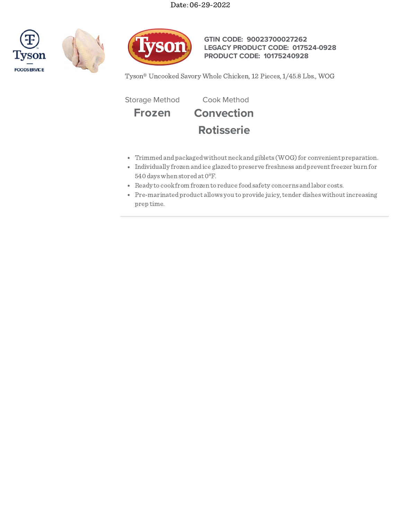





# **GTIN CODE: 90023700027262 LEGACY PRODUCT CODE: 017524-0928 PRODUCT CODE: 10175240928**

Tyson® Uncooked Savory Whole Chicken, 12 Pieces, 1/45.8 Lbs., WOG

Storage Method Cook Method

**Frozen Convection Rotisserie**

- Trimmed and packaged without neck and giblets (WOG) for convenient preparation.
- Individually frozen andice glazedtopreserve freshness andpreventfreezer burn for 540 dayswhen storedat 0°F.
- Ready to cookfrom frozen to reduce foodsafety concerns andlabor costs.
- Pre-marinated product allows you to provide juicy, tender dishes without increasing prep time.